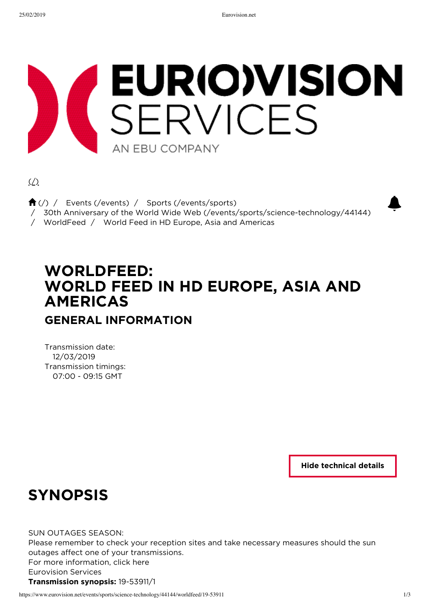# EURIO)VISION<br>SERVICES AN FRU COMPANY

 $($ 

 $\bigoplus_{k}(x)$  / Events (/events) / Sports (/events/sports)

**A** (/) / Events (/events) / Sports (/events/sports)<br>/ 30th Anniversary of the World Wide Web (/events/sports/science-technology/44144)

/ WorldFeed / World Feed in HD Europe, Asia and Americas

# **WORLDFEED: WORLD FEED IN HD EUROPE, ASIA AND AMERICAS**

## **GENERAL INFORMATION**

Transmission date: 12/03/2019 Transmission timings: 07:00 - 09:15 GMT

**Hide technical details**

## **SYNOPSIS**

SUN OUTAGES SEASON:

Please remember to check your reception sites and take necessary measures should the sun outages affect one of your transmissions. For more information, click here Eurovision Services **Transmission synopsis:** 19-53911/1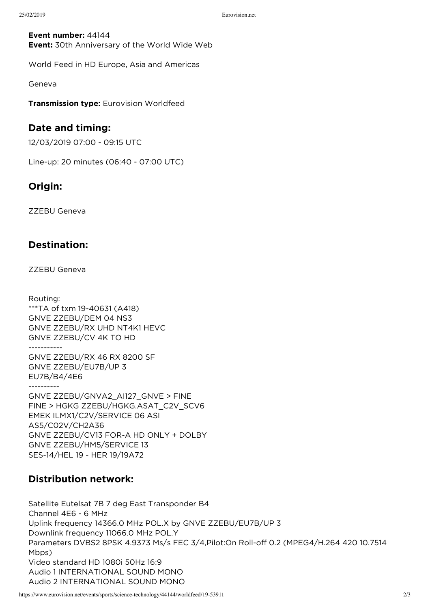**Event number:** 44144 **Event:** 30th Anniversary of the World Wide Web

World Feed in HD Europe, Asia and Americas

Geneva

**Transmission type:** Eurovision Worldfeed

### **Date and timing:**

12/03/2019 07:00 - 09:15 UTC

Line-up: 20 minutes (06:40 - 07:00 UTC)

## **Origin:**

ZZEBU Geneva

## **Destination:**

ZZEBU Geneva

Routing: \*\*\*TA of txm 19-40631 (A418) GNVE ZZEBU/DEM 04 NS3 GNVE ZZEBU/RX UHD NT4K1 HEVC GNVE ZZEBU/CV 4K TO HD ----------- GNVE ZZEBU/RX 46 RX 8200 SF GNVE ZZEBU/EU7B/UP 3 EU7B/B4/4E6 ---------- GNVE ZZEBU/GNVA2\_AI127\_GNVE > FINE FINE > HGKG ZZEBU/HGKG.ASAT\_C2V\_SCV6 EMEK ILMX1/C2V/SERVICE 06 ASI AS5/C02V/CH2A36 GNVE ZZEBU/CV13 FOR-A HD ONLY + DOLBY GNVE ZZEBU/HM5/SERVICE 13 SES-14/HEL 19 - HER 19/19A72

## **Distribution network:**

Satellite Eutelsat 7B 7 deg East Transponder B4 Channel 4E6 - 6 MHz Uplink frequency 14366.0 MHz POL.X by GNVE ZZEBU/EU7B/UP 3 Downlink frequency 11066.0 MHz POL.Y Parameters DVBS2 8PSK 4.9373 Ms/s FEC 3/4,Pilot:On Roll-off 0.2 (MPEG4/H.264 420 10.7514 Mbps) Video standard HD 1080i 50Hz 16:9 Audio 1 INTERNATIONAL SOUND MONO Audio 2 INTERNATIONAL SOUND MONO